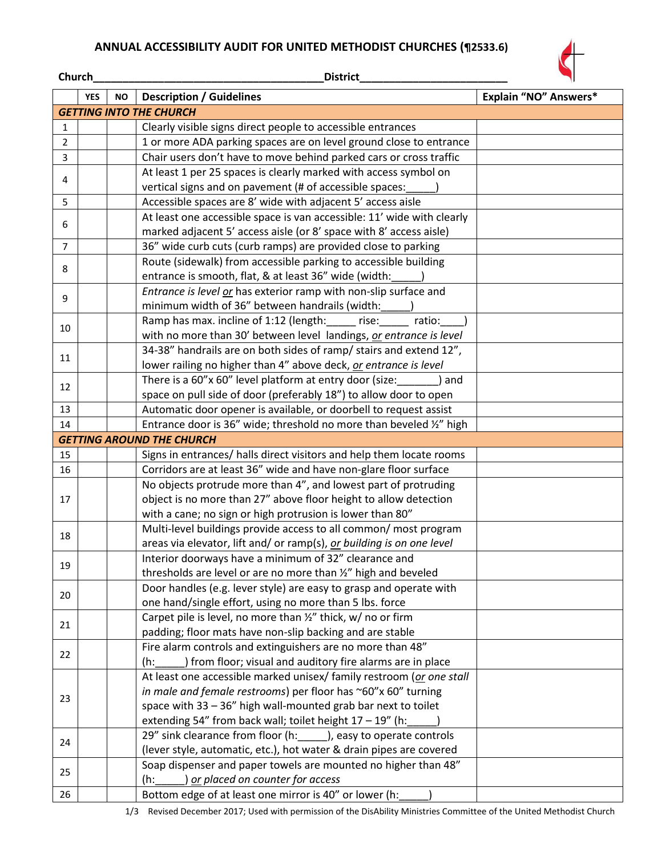## **ANNUAL ACCESSIBILITY AUDIT FOR UNITED METHODIST CHURCHES (¶2533.6)**

**Church\_\_\_\_\_\_\_\_\_\_\_\_\_\_\_\_\_\_\_\_\_\_\_\_\_\_\_\_\_\_\_\_\_\_\_\_\_\_\_District\_\_\_\_\_\_\_\_\_\_\_\_\_\_\_\_\_\_\_\_\_\_\_\_\_**



|                | <b>YES</b> | <b>NO</b> | <b>Description / Guidelines</b>                                                                                        | Explain "NO" Answers* |
|----------------|------------|-----------|------------------------------------------------------------------------------------------------------------------------|-----------------------|
|                |            |           | <b>GETTING INTO THE CHURCH</b>                                                                                         |                       |
| 1              |            |           | Clearly visible signs direct people to accessible entrances                                                            |                       |
| $\overline{2}$ |            |           | 1 or more ADA parking spaces are on level ground close to entrance                                                     |                       |
| $\mathbf{3}$   |            |           | Chair users don't have to move behind parked cars or cross traffic                                                     |                       |
| 4              |            |           | At least 1 per 25 spaces is clearly marked with access symbol on                                                       |                       |
|                |            |           | vertical signs and on pavement (# of accessible spaces:                                                                |                       |
| 5              |            |           | Accessible spaces are 8' wide with adjacent 5' access aisle                                                            |                       |
| 6              |            |           | At least one accessible space is van accessible: 11' wide with clearly                                                 |                       |
|                |            |           | marked adjacent 5' access aisle (or 8' space with 8' access aisle)                                                     |                       |
| $\overline{7}$ |            |           | 36" wide curb cuts (curb ramps) are provided close to parking                                                          |                       |
| 8              |            |           | Route (sidewalk) from accessible parking to accessible building                                                        |                       |
|                |            |           | entrance is smooth, flat, & at least 36" wide (width:                                                                  |                       |
| 9              |            |           | Entrance is level or has exterior ramp with non-slip surface and                                                       |                       |
|                |            |           | minimum width of 36" between handrails (width:                                                                         |                       |
| 10             |            |           | Ramp has max. incline of 1:12 (length: ______ rise:<br>ratio:                                                          |                       |
|                |            |           | with no more than 30' between level landings, or entrance is level                                                     |                       |
| 11             |            |           | 34-38" handrails are on both sides of ramp/ stairs and extend 12",                                                     |                       |
|                |            |           | lower railing no higher than 4" above deck, or entrance is level                                                       |                       |
| 12             |            |           | There is a 60"x 60" level platform at entry door (size:<br>) and                                                       |                       |
|                |            |           | space on pull side of door (preferably 18") to allow door to open                                                      |                       |
| 13             |            |           | Automatic door opener is available, or doorbell to request assist                                                      |                       |
| 14             |            |           | Entrance door is 36" wide; threshold no more than beveled 1/2" high                                                    |                       |
|                |            |           | <b>GETTING AROUND THE CHURCH</b>                                                                                       |                       |
| 15             |            |           | Signs in entrances/ halls direct visitors and help them locate rooms                                                   |                       |
| 16             |            |           | Corridors are at least 36" wide and have non-glare floor surface                                                       |                       |
|                |            |           | No objects protrude more than 4", and lowest part of protruding                                                        |                       |
| 17             |            |           | object is no more than 27" above floor height to allow detection                                                       |                       |
|                |            |           | with a cane; no sign or high protrusion is lower than 80"                                                              |                       |
| 18             |            |           | Multi-level buildings provide access to all common/ most program                                                       |                       |
|                |            |           | areas via elevator, lift and/ or ramp(s), or building is on one level                                                  |                       |
| 19             |            |           | Interior doorways have a minimum of 32" clearance and                                                                  |                       |
|                |            |           | thresholds are level or are no more than %" high and beveled                                                           |                       |
| 20             |            |           | Door handles (e.g. lever style) are easy to grasp and operate with                                                     |                       |
|                |            |           | one hand/single effort, using no more than 5 lbs. force                                                                |                       |
| 21             |            |           | Carpet pile is level, no more than 1/2" thick, w/ no or firm                                                           |                       |
|                |            |           | padding; floor mats have non-slip backing and are stable<br>Fire alarm controls and extinguishers are no more than 48" |                       |
| 22             |            |           | ) from floor; visual and auditory fire alarms are in place                                                             |                       |
|                |            |           | (h:<br>At least one accessible marked unisex/ family restroom (or one stall                                            |                       |
|                |            |           | in male and female restrooms) per floor has ~60"x 60" turning                                                          |                       |
| 23             |            |           | space with 33 - 36" high wall-mounted grab bar next to toilet                                                          |                       |
|                |            |           | extending 54" from back wall; toilet height $17 - 19$ " (h:                                                            |                       |
|                |            |           | 29" sink clearance from floor (h: ), easy to operate controls                                                          |                       |
| 24             |            |           | (lever style, automatic, etc.), hot water & drain pipes are covered                                                    |                       |
|                |            |           | Soap dispenser and paper towels are mounted no higher than 48"                                                         |                       |
| 25<br>26       |            |           | or placed on counter for access<br>$(h)$ :                                                                             |                       |
|                |            |           | Bottom edge of at least one mirror is 40" or lower (h:                                                                 |                       |
|                |            |           |                                                                                                                        |                       |

1/3 Revised December 2017; Used with permission of the DisAbility Ministries Committee of the United Methodist Church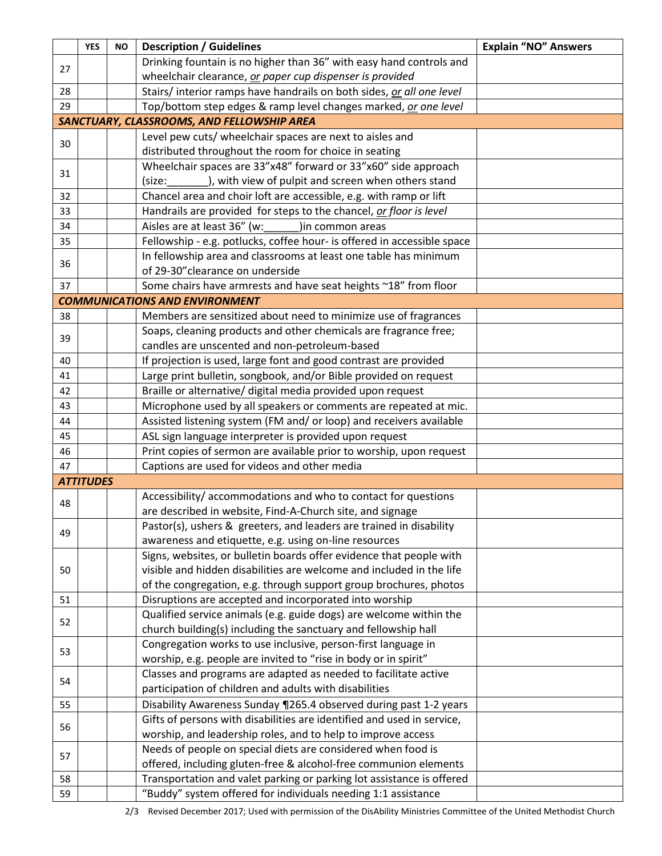|    | <b>YES</b>       | <b>NO</b> | <b>Description / Guidelines</b>                                         | <b>Explain "NO" Answers</b> |
|----|------------------|-----------|-------------------------------------------------------------------------|-----------------------------|
| 27 |                  |           | Drinking fountain is no higher than 36" with easy hand controls and     |                             |
|    |                  |           | wheelchair clearance, or paper cup dispenser is provided                |                             |
| 28 |                  |           | Stairs/ interior ramps have handrails on both sides, or all one level   |                             |
| 29 |                  |           | Top/bottom step edges & ramp level changes marked, or one level         |                             |
|    |                  |           | SANCTUARY, CLASSROOMS, AND FELLOWSHIP AREA                              |                             |
| 30 |                  |           | Level pew cuts/ wheelchair spaces are next to aisles and                |                             |
|    |                  |           | distributed throughout the room for choice in seating                   |                             |
| 31 |                  |           | Wheelchair spaces are 33"x48" forward or 33"x60" side approach          |                             |
|    |                  |           | ), with view of pulpit and screen when others stand<br>(size:           |                             |
| 32 |                  |           | Chancel area and choir loft are accessible, e.g. with ramp or lift      |                             |
| 33 |                  |           | Handrails are provided for steps to the chancel, or floor is level      |                             |
| 34 |                  |           | Aisles are at least 36" (w:<br>)in common areas                         |                             |
| 35 |                  |           | Fellowship - e.g. potlucks, coffee hour- is offered in accessible space |                             |
| 36 |                  |           | In fellowship area and classrooms at least one table has minimum        |                             |
|    |                  |           | of 29-30" clearance on underside                                        |                             |
| 37 |                  |           | Some chairs have armrests and have seat heights ~18" from floor         |                             |
|    |                  |           | <b>COMMUNICATIONS AND ENVIRONMENT</b>                                   |                             |
| 38 |                  |           | Members are sensitized about need to minimize use of fragrances         |                             |
| 39 |                  |           | Soaps, cleaning products and other chemicals are fragrance free;        |                             |
|    |                  |           | candles are unscented and non-petroleum-based                           |                             |
| 40 |                  |           | If projection is used, large font and good contrast are provided        |                             |
| 41 |                  |           | Large print bulletin, songbook, and/or Bible provided on request        |                             |
| 42 |                  |           | Braille or alternative/ digital media provided upon request             |                             |
| 43 |                  |           | Microphone used by all speakers or comments are repeated at mic.        |                             |
| 44 |                  |           | Assisted listening system (FM and/ or loop) and receivers available     |                             |
| 45 |                  |           | ASL sign language interpreter is provided upon request                  |                             |
| 46 |                  |           | Print copies of sermon are available prior to worship, upon request     |                             |
| 47 |                  |           | Captions are used for videos and other media                            |                             |
|    | <b>ATTITUDES</b> |           |                                                                         |                             |
| 48 |                  |           | Accessibility/accommodations and who to contact for questions           |                             |
|    |                  |           | are described in website, Find-A-Church site, and signage               |                             |
| 49 |                  |           | Pastor(s), ushers & greeters, and leaders are trained in disability     |                             |
|    |                  |           | awareness and etiquette, e.g. using on-line resources                   |                             |
|    |                  |           | Signs, websites, or bulletin boards offer evidence that people with     |                             |
| 50 |                  |           | visible and hidden disabilities are welcome and included in the life    |                             |
|    |                  |           | of the congregation, e.g. through support group brochures, photos       |                             |
| 51 |                  |           | Disruptions are accepted and incorporated into worship                  |                             |
| 52 |                  |           | Qualified service animals (e.g. guide dogs) are welcome within the      |                             |
|    |                  |           | church building(s) including the sanctuary and fellowship hall          |                             |
| 53 |                  |           | Congregation works to use inclusive, person-first language in           |                             |
|    |                  |           | worship, e.g. people are invited to "rise in body or in spirit"         |                             |
| 54 |                  |           | Classes and programs are adapted as needed to facilitate active         |                             |
|    |                  |           | participation of children and adults with disabilities                  |                             |
| 55 |                  |           | Disability Awareness Sunday 1265.4 observed during past 1-2 years       |                             |
| 56 |                  |           | Gifts of persons with disabilities are identified and used in service,  |                             |
|    |                  |           | worship, and leadership roles, and to help to improve access            |                             |
| 57 |                  |           | Needs of people on special diets are considered when food is            |                             |
|    |                  |           | offered, including gluten-free & alcohol-free communion elements        |                             |
| 58 |                  |           | Transportation and valet parking or parking lot assistance is offered   |                             |
| 59 |                  |           | "Buddy" system offered for individuals needing 1:1 assistance           |                             |

2/3 Revised December 2017; Used with permission of the DisAbility Ministries Committee of the United Methodist Church